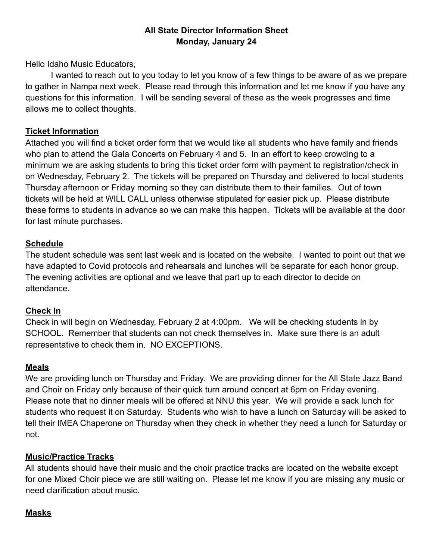## **All State Director Information Sheet Monday, January 24**

Hello Idaho Music Educators,

I wanted to reach out to you today to let you know of a few things to be aware of as we prepare to gather in Nampa next week. Please read through this information and let me know if you have any questions for this information. I will be sending several of these as the week progresses and time allows me to collect thoughts.

### **Ticket Information**

Attached you will find a ticket order form that we would like all students who have family and friends who plan to attend the Gala Concerts on February 4 and 5. In an effort to keep crowding to a minimum we are asking students to bring this ticket order form with payment to registration/check in on Wednesday, February 2. The tickets will be prepared on Thursday and delivered to local students Thursday afternoon or Friday morning so they can distribute them to their families. Out of town tickets will be held at WILL CALL unless otherwise stipulated for easier pick up. Please distribute these forms to students in advance so we can make this happen. Tickets will be available at the door for last minute purchases.

## **Schedule**

The student schedule was sent last week and is located on the website. I wanted to point out that we have adapted to Covid protocols and rehearsals and lunches will be separate for each honor group. The evening activities are optional and we leave that part up to each director to decide on attendance.

### **Check In**

Check in will begin on Wednesday, February 2 at 4:00pm. We will be checking students in by SCHOOL. Remember that students can not check themselves in. Make sure there is an adult representative to check them in. NO EXCEPTIONS.

### **Meals**

We are providing lunch on Thursday and Friday. We are providing dinner for the All State Jazz Band and Choir on Friday only because of their quick turn around concert at 6pm on Friday evening. Please note that no dinner meals will be offered at NNU this year. We will provide a sack lunch for students who request it on Saturday. Students who wish to have a lunch on Saturday will be asked to tell their IMEA Chaperone on Thursday when they check in whether they need a lunch for Saturday or not.

### **Music/Practice Tracks**

All students should have their music and the choir practice tracks are located on the website except for one Mixed Choir piece we are still waiting on. Please let me know if you are missing any music or need clarification about music.

# **Masks**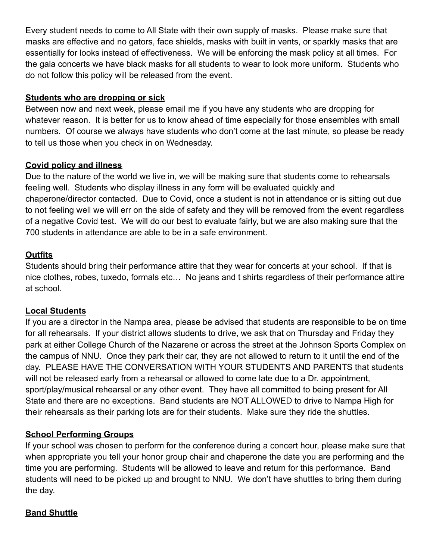Every student needs to come to All State with their own supply of masks. Please make sure that masks are effective and no gators, face shields, masks with built in vents, or sparkly masks that are essentially for looks instead of effectiveness. We will be enforcing the mask policy at all times. For the gala concerts we have black masks for all students to wear to look more uniform. Students who do not follow this policy will be released from the event.

## **Students who are dropping or sick**

Between now and next week, please email me if you have any students who are dropping for whatever reason. It is better for us to know ahead of time especially for those ensembles with small numbers. Of course we always have students who don't come at the last minute, so please be ready to tell us those when you check in on Wednesday.

## **Covid policy and illness**

Due to the nature of the world we live in, we will be making sure that students come to rehearsals feeling well. Students who display illness in any form will be evaluated quickly and chaperone/director contacted. Due to Covid, once a student is not in attendance or is sitting out due to not feeling well we will err on the side of safety and they will be removed from the event regardless of a negative Covid test. We will do our best to evaluate fairly, but we are also making sure that the 700 students in attendance are able to be in a safe environment.

## **Outfits**

Students should bring their performance attire that they wear for concerts at your school. If that is nice clothes, robes, tuxedo, formals etc… No jeans and t shirts regardless of their performance attire at school.

### **Local Students**

If you are a director in the Nampa area, please be advised that students are responsible to be on time for all rehearsals. If your district allows students to drive, we ask that on Thursday and Friday they park at either College Church of the Nazarene or across the street at the Johnson Sports Complex on the campus of NNU. Once they park their car, they are not allowed to return to it until the end of the day. PLEASE HAVE THE CONVERSATION WITH YOUR STUDENTS AND PARENTS that students will not be released early from a rehearsal or allowed to come late due to a Dr. appointment, sport/play/musical rehearsal or any other event. They have all committed to being present for All State and there are no exceptions. Band students are NOT ALLOWED to drive to Nampa High for their rehearsals as their parking lots are for their students. Make sure they ride the shuttles.

# **School Performing Groups**

If your school was chosen to perform for the conference during a concert hour, please make sure that when appropriate you tell your honor group chair and chaperone the date you are performing and the time you are performing. Students will be allowed to leave and return for this performance. Band students will need to be picked up and brought to NNU. We don't have shuttles to bring them during the day.

### **Band Shuttle**